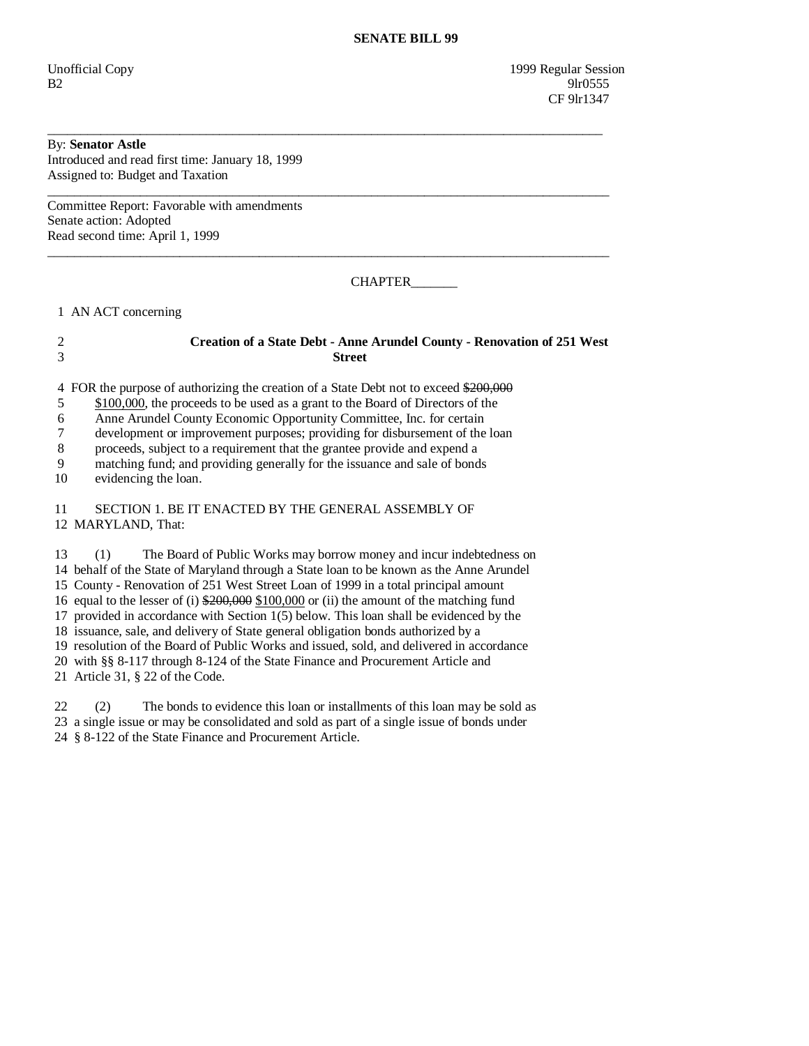Unofficial Copy 1999 Regular Session  $B2 \t\t\t 91r0555$ CF 9lr1347

## By: **Senator Astle**

Introduced and read first time: January 18, 1999 Assigned to: Budget and Taxation

Committee Report: Favorable with amendments Senate action: Adopted Read second time: April 1, 1999

CHAPTER\_\_\_\_\_\_\_

1 AN ACT concerning

## 2 **Creation of a State Debt - Anne Arundel County - Renovation of 251 West**  3 **Street**

\_\_\_\_\_\_\_\_\_\_\_\_\_\_\_\_\_\_\_\_\_\_\_\_\_\_\_\_\_\_\_\_\_\_\_\_\_\_\_\_\_\_\_\_\_\_\_\_\_\_\_\_\_\_\_\_\_\_\_\_\_\_\_\_\_\_\_\_\_\_\_\_\_\_\_\_\_\_\_\_\_\_\_\_

 $\overline{\phantom{a}}$  ,  $\overline{\phantom{a}}$  ,  $\overline{\phantom{a}}$  ,  $\overline{\phantom{a}}$  ,  $\overline{\phantom{a}}$  ,  $\overline{\phantom{a}}$  ,  $\overline{\phantom{a}}$  ,  $\overline{\phantom{a}}$  ,  $\overline{\phantom{a}}$  ,  $\overline{\phantom{a}}$  ,  $\overline{\phantom{a}}$  ,  $\overline{\phantom{a}}$  ,  $\overline{\phantom{a}}$  ,  $\overline{\phantom{a}}$  ,  $\overline{\phantom{a}}$  ,  $\overline{\phantom{a}}$ 

 $\overline{\phantom{a}}$  ,  $\overline{\phantom{a}}$  ,  $\overline{\phantom{a}}$  ,  $\overline{\phantom{a}}$  ,  $\overline{\phantom{a}}$  ,  $\overline{\phantom{a}}$  ,  $\overline{\phantom{a}}$  ,  $\overline{\phantom{a}}$  ,  $\overline{\phantom{a}}$  ,  $\overline{\phantom{a}}$  ,  $\overline{\phantom{a}}$  ,  $\overline{\phantom{a}}$  ,  $\overline{\phantom{a}}$  ,  $\overline{\phantom{a}}$  ,  $\overline{\phantom{a}}$  ,  $\overline{\phantom{a}}$ 

4 FOR the purpose of authorizing the creation of a State Debt not to exceed \$200,000

5 \$100,000, the proceeds to be used as a grant to the Board of Directors of the

6 Anne Arundel County Economic Opportunity Committee, Inc. for certain

7 development or improvement purposes; providing for disbursement of the loan

8 proceeds, subject to a requirement that the grantee provide and expend a

9 matching fund; and providing generally for the issuance and sale of bonds

10 evidencing the loan.

 11 SECTION 1. BE IT ENACTED BY THE GENERAL ASSEMBLY OF 12 MARYLAND, That:

 13 (1) The Board of Public Works may borrow money and incur indebtedness on 14 behalf of the State of Maryland through a State loan to be known as the Anne Arundel 15 County - Renovation of 251 West Street Loan of 1999 in a total principal amount 16 equal to the lesser of (i)  $$200,000 \text{ }\$100,000$  or (ii) the amount of the matching fund 17 provided in accordance with Section 1(5) below. This loan shall be evidenced by the 18 issuance, sale, and delivery of State general obligation bonds authorized by a 19 resolution of the Board of Public Works and issued, sold, and delivered in accordance 20 with §§ 8-117 through 8-124 of the State Finance and Procurement Article and 21 Article 31, § 22 of the Code.

 22 (2) The bonds to evidence this loan or installments of this loan may be sold as 23 a single issue or may be consolidated and sold as part of a single issue of bonds under 24 § 8-122 of the State Finance and Procurement Article.